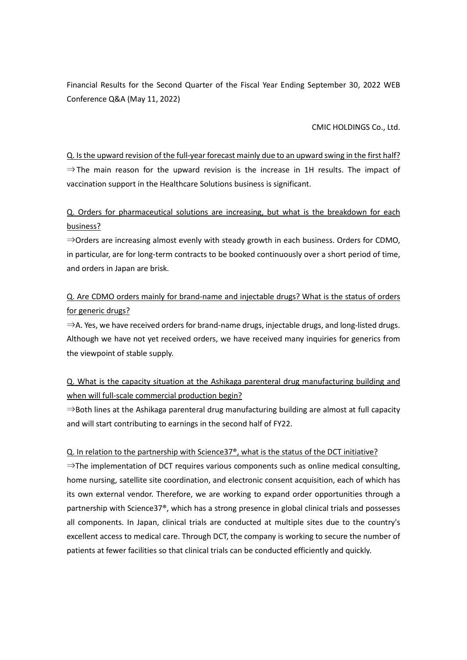Financial Results for the Second Quarter of the Fiscal Year Ending September 30, 2022 WEB Conference Q&A (May 11, 2022)

CMIC HOLDINGS Co., Ltd.

Q. Is the upward revision of the full-year forecast mainly due to an upward swing in the first half?  $\Rightarrow$  The main reason for the upward revision is the increase in 1H results. The impact of vaccination support in the Healthcare Solutions business is significant.

Q. Orders for pharmaceutical solutions are increasing, but what is the breakdown for each business?

⇒Orders are increasing almost evenly with steady growth in each business. Orders for CDMO, in particular, are for long-term contracts to be booked continuously over a short period of time, and orders in Japan are brisk.

Q. Are CDMO orders mainly for brand-name and injectable drugs? What is the status of orders for generic drugs?

 $\Rightarrow$  A. Yes, we have received orders for brand-name drugs, injectable drugs, and long-listed drugs. Although we have not yet received orders, we have received many inquiries for generics from the viewpoint of stable supply.

Q. What is the capacity situation at the Ashikaga parenteral drug manufacturing building and when will full-scale commercial production begin?

 $\Rightarrow$ Both lines at the Ashikaga parenteral drug manufacturing building are almost at full capacity and will start contributing to earnings in the second half of FY22.

## Q. In relation to the partnership with Science37®, what is the status of the DCT initiative?

 $\Rightarrow$ The implementation of DCT requires various components such as online medical consulting, home nursing, satellite site coordination, and electronic consent acquisition, each of which has its own external vendor. Therefore, we are working to expand order opportunities through a partnership with Science37®, which has a strong presence in global clinical trials and possesses all components. In Japan, clinical trials are conducted at multiple sites due to the country's excellent access to medical care. Through DCT, the company is working to secure the number of patients at fewer facilities so that clinical trials can be conducted efficiently and quickly.